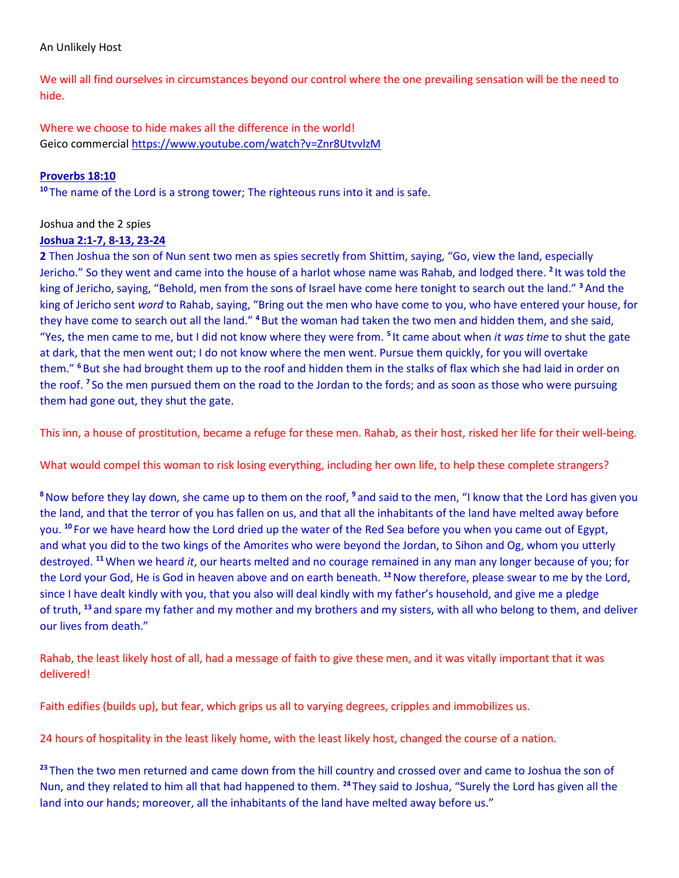#### An Unlikely Host

We will all find ourselves in circumstances beyond our control where the one prevailing sensation will be the need to hide.

Where we choose to hide makes all the difference in the world! Geico commercial <https://www.youtube.com/watch?v=Znr8UtvvlzM>

# **Proverbs 18:10**

**<sup>10</sup>** The name of the Lord is a strong tower; The righteous runs into it and is safe.

### Joshua and the 2 spies

### **Joshua 2:1-7, 8-13, 23-24**

**2** Then Joshua the son of Nun sent two men as spies secretly from Shittim, saying, "Go, view the land, especially Jericho." So they went and came into the house of a harlot whose name was Rahab, and lodged there. <sup>2</sup> It was told the king of Jericho, saying, "Behold, men from the sons of Israel have come here tonight to search out the land." **<sup>3</sup>**And the king of Jericho sent *word* to Rahab, saying, "Bring out the men who have come to you, who have entered your house, for they have come to search out all the land." **<sup>4</sup>** But the woman had taken the two men and hidden them, and she said, "Yes, the men came to me, but I did not know where they were from. **<sup>5</sup>** It came about when *it was time* to shut the gate at dark, that the men went out; I do not know where the men went. Pursue them quickly, for you will overtake them." **<sup>6</sup>** But she had brought them up to the roof and hidden them in the stalks of flax which she had laid in order on the roof. **<sup>7</sup>** So the men pursued them on the road to the Jordan to the fords; and as soon as those who were pursuing them had gone out, they shut the gate.

This inn, a house of prostitution, became a refuge for these men. Rahab, as their host, risked her life for their well-being.

What would compel this woman to risk losing everything, including her own life, to help these complete strangers?

**<sup>8</sup>**Now before they lay down, she came up to them on the roof, **<sup>9</sup>** and said to the men, "I know that the Lord has given you the land, and that the terror of you has fallen on us, and that all the inhabitants of the land have melted away before you. **<sup>10</sup>** For we have heard how the Lord dried up the water of the Red Sea before you when you came out of Egypt, and what you did to the two kings of the Amorites who were beyond the Jordan, to Sihon and Og, whom you utterly destroyed. **<sup>11</sup>**When we heard *it*, our hearts melted and no courage remained in any man any longer because of you; for the Lord your God, He is God in heaven above and on earth beneath. **<sup>12</sup>**Now therefore, please swear to me by the Lord, since I have dealt kindly with you, that you also will deal kindly with my father's household, and give me a pledge of truth, **<sup>13</sup>** and spare my father and my mother and my brothers and my sisters, with all who belong to them, and deliver our lives from death."

Rahab, the least likely host of all, had a message of faith to give these men, and it was vitally important that it was delivered!

Faith edifies (builds up), but fear, which grips us all to varying degrees, cripples and immobilizes us.

24 hours of hospitality in the least likely home, with the least likely host, changed the course of a nation.

**<sup>23</sup>** Then the two men returned and came down from the hill country and crossed over and came to Joshua the son of Nun, and they related to him all that had happened to them. **<sup>24</sup>** They said to Joshua, "Surely the Lord has given all the land into our hands; moreover, all the inhabitants of the land have melted away before us."